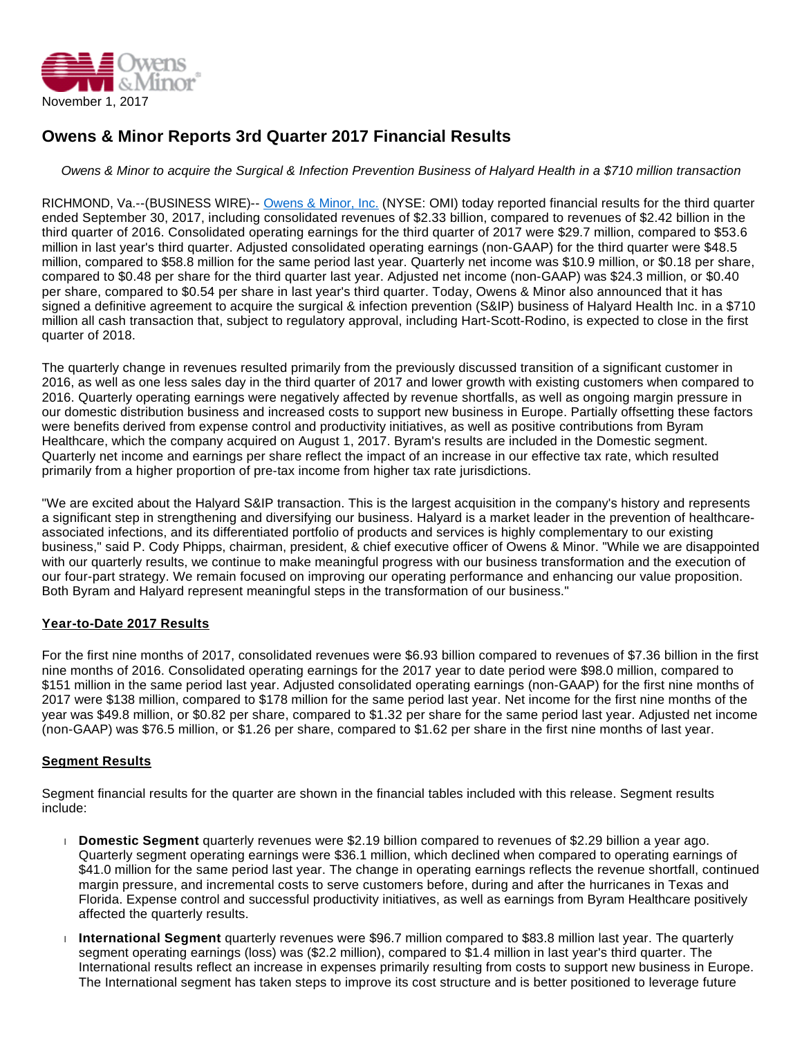

# **Owens & Minor Reports 3rd Quarter 2017 Financial Results**

Owens & Minor to acquire the Surgical & Infection Prevention Business of Halyard Health in a \$710 million transaction

RICHMOND, Va.--(BUSINESS WIRE)-- [Owens & Minor, Inc.](http://cts.businesswire.com/ct/CT?id=smartlink&url=http%3A%2F%2Fwww.owens-minor.com%2F&esheet=51708575&newsitemid=20171101005841&lan=en-US&anchor=Owens+%26+Minor%2C+Inc.&index=1&md5=cf83ada024b4761ef19e80a747289b2d) (NYSE: OMI) today reported financial results for the third quarter ended September 30, 2017, including consolidated revenues of \$2.33 billion, compared to revenues of \$2.42 billion in the third quarter of 2016. Consolidated operating earnings for the third quarter of 2017 were \$29.7 million, compared to \$53.6 million in last year's third quarter. Adjusted consolidated operating earnings (non-GAAP) for the third quarter were \$48.5 million, compared to \$58.8 million for the same period last year. Quarterly net income was \$10.9 million, or \$0.18 per share, compared to \$0.48 per share for the third quarter last year. Adjusted net income (non-GAAP) was \$24.3 million, or \$0.40 per share, compared to \$0.54 per share in last year's third quarter. Today, Owens & Minor also announced that it has signed a definitive agreement to acquire the surgical & infection prevention (S&IP) business of Halyard Health Inc. in a \$710 million all cash transaction that, subject to regulatory approval, including Hart-Scott-Rodino, is expected to close in the first quarter of 2018.

The quarterly change in revenues resulted primarily from the previously discussed transition of a significant customer in 2016, as well as one less sales day in the third quarter of 2017 and lower growth with existing customers when compared to 2016. Quarterly operating earnings were negatively affected by revenue shortfalls, as well as ongoing margin pressure in our domestic distribution business and increased costs to support new business in Europe. Partially offsetting these factors were benefits derived from expense control and productivity initiatives, as well as positive contributions from Byram Healthcare, which the company acquired on August 1, 2017. Byram's results are included in the Domestic segment. Quarterly net income and earnings per share reflect the impact of an increase in our effective tax rate, which resulted primarily from a higher proportion of pre-tax income from higher tax rate jurisdictions.

"We are excited about the Halyard S&IP transaction. This is the largest acquisition in the company's history and represents a significant step in strengthening and diversifying our business. Halyard is a market leader in the prevention of healthcareassociated infections, and its differentiated portfolio of products and services is highly complementary to our existing business," said P. Cody Phipps, chairman, president, & chief executive officer of Owens & Minor. "While we are disappointed with our quarterly results, we continue to make meaningful progress with our business transformation and the execution of our four-part strategy. We remain focused on improving our operating performance and enhancing our value proposition. Both Byram and Halyard represent meaningful steps in the transformation of our business."

# **Year-to-Date 2017 Results**

For the first nine months of 2017, consolidated revenues were \$6.93 billion compared to revenues of \$7.36 billion in the first nine months of 2016. Consolidated operating earnings for the 2017 year to date period were \$98.0 million, compared to \$151 million in the same period last year. Adjusted consolidated operating earnings (non-GAAP) for the first nine months of 2017 were \$138 million, compared to \$178 million for the same period last year. Net income for the first nine months of the year was \$49.8 million, or \$0.82 per share, compared to \$1.32 per share for the same period last year. Adjusted net income (non-GAAP) was \$76.5 million, or \$1.26 per share, compared to \$1.62 per share in the first nine months of last year.

## **Segment Results**

Segment financial results for the quarter are shown in the financial tables included with this release. Segment results include:

- **Domestic Segment** quarterly revenues were \$2.19 billion compared to revenues of \$2.29 billion a year ago. Quarterly segment operating earnings were \$36.1 million, which declined when compared to operating earnings of \$41.0 million for the same period last year. The change in operating earnings reflects the revenue shortfall, continued margin pressure, and incremental costs to serve customers before, during and after the hurricanes in Texas and Florida. Expense control and successful productivity initiatives, as well as earnings from Byram Healthcare positively affected the quarterly results.
- **International Segment** quarterly revenues were \$96.7 million compared to \$83.8 million last year. The quarterly segment operating earnings (loss) was (\$2.2 million), compared to \$1.4 million in last year's third quarter. The International results reflect an increase in expenses primarily resulting from costs to support new business in Europe. The International segment has taken steps to improve its cost structure and is better positioned to leverage future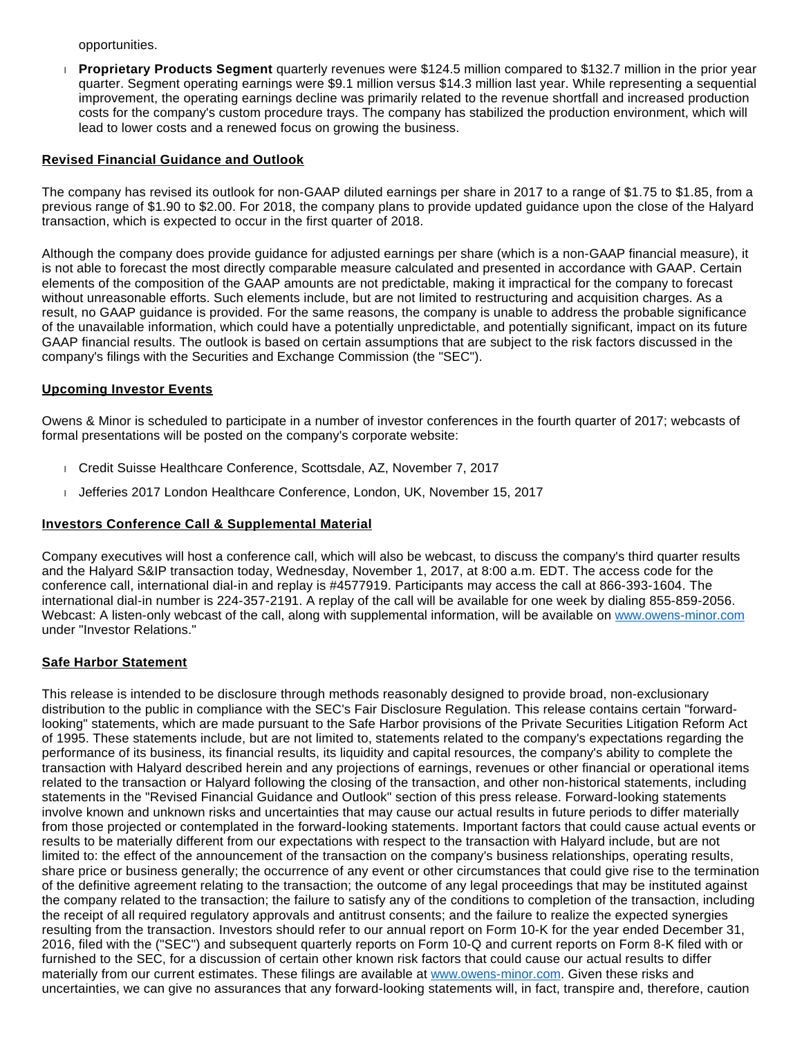opportunities.

 **Proprietary Products Segment** quarterly revenues were \$124.5 million compared to \$132.7 million in the prior year quarter. Segment operating earnings were \$9.1 million versus \$14.3 million last year. While representing a sequential improvement, the operating earnings decline was primarily related to the revenue shortfall and increased production costs for the company's custom procedure trays. The company has stabilized the production environment, which will lead to lower costs and a renewed focus on growing the business.

## **Revised Financial Guidance and Outlook**

The company has revised its outlook for non-GAAP diluted earnings per share in 2017 to a range of \$1.75 to \$1.85, from a previous range of \$1.90 to \$2.00. For 2018, the company plans to provide updated guidance upon the close of the Halyard transaction, which is expected to occur in the first quarter of 2018.

Although the company does provide guidance for adjusted earnings per share (which is a non-GAAP financial measure), it is not able to forecast the most directly comparable measure calculated and presented in accordance with GAAP. Certain elements of the composition of the GAAP amounts are not predictable, making it impractical for the company to forecast without unreasonable efforts. Such elements include, but are not limited to restructuring and acquisition charges. As a result, no GAAP guidance is provided. For the same reasons, the company is unable to address the probable significance of the unavailable information, which could have a potentially unpredictable, and potentially significant, impact on its future GAAP financial results. The outlook is based on certain assumptions that are subject to the risk factors discussed in the company's filings with the Securities and Exchange Commission (the "SEC").

# **Upcoming Investor Events**

Owens & Minor is scheduled to participate in a number of investor conferences in the fourth quarter of 2017; webcasts of formal presentations will be posted on the company's corporate website:

- Credit Suisse Healthcare Conference, Scottsdale, AZ, November 7, 2017
- Jefferies 2017 London Healthcare Conference, London, UK, November 15, 2017

# **Investors Conference Call & Supplemental Material**

Company executives will host a conference call, which will also be webcast, to discuss the company's third quarter results and the Halyard S&IP transaction today, Wednesday, November 1, 2017, at 8:00 a.m. EDT. The access code for the conference call, international dial-in and replay is #4577919. Participants may access the call at 866-393-1604. The international dial-in number is 224-357-2191. A replay of the call will be available for one week by dialing 855-859-2056. Webcast: A listen-only webcast of the call, along with supplemental information, will be available on [www.owens-minor.com](http://cts.businesswire.com/ct/CT?id=smartlink&url=http%3A%2F%2Fwww.owens-minor.com&esheet=51708575&newsitemid=20171101005841&lan=en-US&anchor=www.owens-minor.com&index=2&md5=162f5d5f3e9f9810779d4b4e007bffea) under "Investor Relations."

# **Safe Harbor Statement**

This release is intended to be disclosure through methods reasonably designed to provide broad, non-exclusionary distribution to the public in compliance with the SEC's Fair Disclosure Regulation. This release contains certain "forwardlooking" statements, which are made pursuant to the Safe Harbor provisions of the Private Securities Litigation Reform Act of 1995. These statements include, but are not limited to, statements related to the company's expectations regarding the performance of its business, its financial results, its liquidity and capital resources, the company's ability to complete the transaction with Halyard described herein and any projections of earnings, revenues or other financial or operational items related to the transaction or Halyard following the closing of the transaction, and other non-historical statements, including statements in the "Revised Financial Guidance and Outlook" section of this press release. Forward-looking statements involve known and unknown risks and uncertainties that may cause our actual results in future periods to differ materially from those projected or contemplated in the forward-looking statements. Important factors that could cause actual events or results to be materially different from our expectations with respect to the transaction with Halyard include, but are not limited to: the effect of the announcement of the transaction on the company's business relationships, operating results, share price or business generally; the occurrence of any event or other circumstances that could give rise to the termination of the definitive agreement relating to the transaction; the outcome of any legal proceedings that may be instituted against the company related to the transaction; the failure to satisfy any of the conditions to completion of the transaction, including the receipt of all required regulatory approvals and antitrust consents; and the failure to realize the expected synergies resulting from the transaction. Investors should refer to our annual report on Form 10-K for the year ended December 31, 2016, filed with the ("SEC") and subsequent quarterly reports on Form 10-Q and current reports on Form 8-K filed with or furnished to the SEC, for a discussion of certain other known risk factors that could cause our actual results to differ materially from our current estimates. These filings are available at [www.owens-minor.com](http://cts.businesswire.com/ct/CT?id=smartlink&url=http%3A%2F%2Fwww.owens-minor.com&esheet=51708575&newsitemid=20171101005841&lan=en-US&anchor=www.owens-minor.com&index=3&md5=e39a8c6aa24337c318f9e9e1a659a8e1). Given these risks and uncertainties, we can give no assurances that any forward-looking statements will, in fact, transpire and, therefore, caution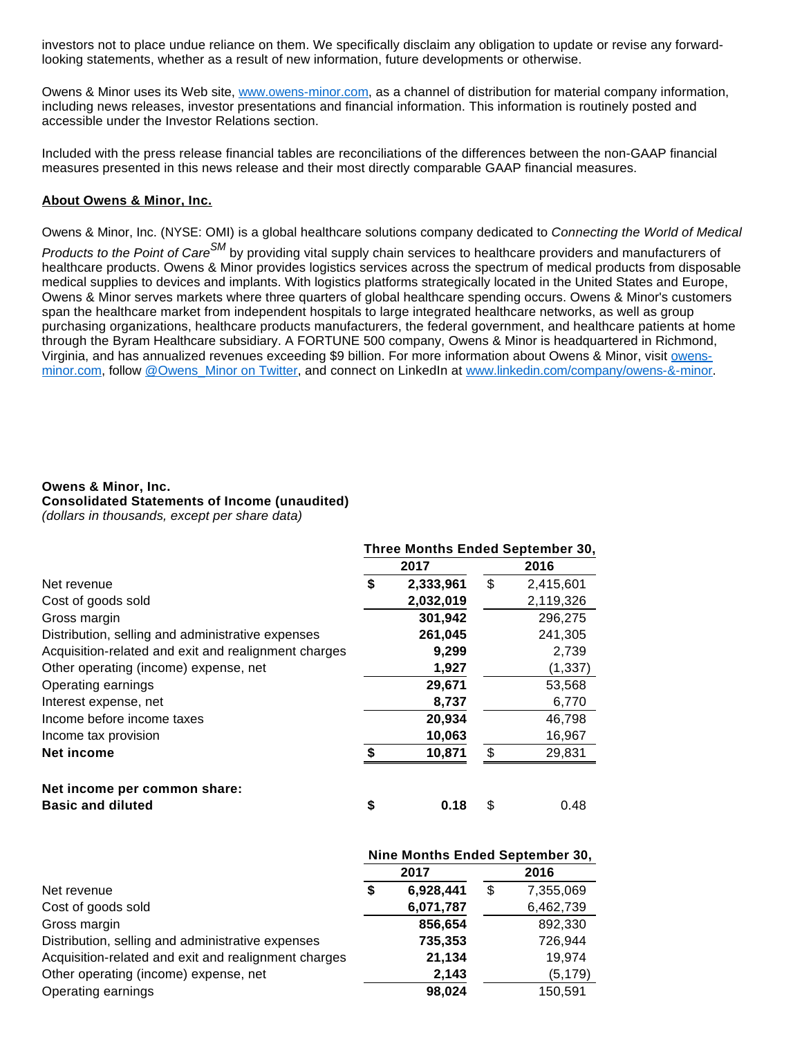investors not to place undue reliance on them. We specifically disclaim any obligation to update or revise any forwardlooking statements, whether as a result of new information, future developments or otherwise.

Owens & Minor uses its Web site, [www.owens-minor.com](http://cts.businesswire.com/ct/CT?id=smartlink&url=http%3A%2F%2Fwww.owens-minor.com&esheet=51708575&newsitemid=20171101005841&lan=en-US&anchor=www.owens-minor.com&index=4&md5=c7d58c7d004ae13c9e57e232bc04fcb9), as a channel of distribution for material company information, including news releases, investor presentations and financial information. This information is routinely posted and accessible under the Investor Relations section.

Included with the press release financial tables are reconciliations of the differences between the non-GAAP financial measures presented in this news release and their most directly comparable GAAP financial measures.

## **About Owens & Minor, Inc.**

Owens & Minor, Inc. (NYSE: OMI) is a global healthcare solutions company dedicated to Connecting the World of Medical

Products to the Point of Care<sup>SM</sup> by providing vital supply chain services to healthcare providers and manufacturers of healthcare products. Owens & Minor provides logistics services across the spectrum of medical products from disposable medical supplies to devices and implants. With logistics platforms strategically located in the United States and Europe, Owens & Minor serves markets where three quarters of global healthcare spending occurs. Owens & Minor's customers span the healthcare market from independent hospitals to large integrated healthcare networks, as well as group purchasing organizations, healthcare products manufacturers, the federal government, and healthcare patients at home through the Byram Healthcare subsidiary. A FORTUNE 500 company, Owens & Minor is headquartered in Richmond, Virginia, and has annualized revenues exceeding \$9 billion. For more information about Owens & Minor, visit [owens](http://cts.businesswire.com/ct/CT?id=smartlink&url=http%3A%2F%2Fwww.owens-minor.com&esheet=51708575&newsitemid=20171101005841&lan=en-US&anchor=owens-minor.com&index=5&md5=f88204170e19ee7e72eb4ad09c07ac9d)[minor.com,](http://cts.businesswire.com/ct/CT?id=smartlink&url=http%3A%2F%2Fwww.owens-minor.com&esheet=51708575&newsitemid=20171101005841&lan=en-US&anchor=owens-minor.com&index=5&md5=f88204170e19ee7e72eb4ad09c07ac9d) follow [@Owens\\_Minor on Twitter](http://cts.businesswire.com/ct/CT?id=smartlink&url=https%3A%2F%2Ftwitter.com%2FOwens_Minor&esheet=51708575&newsitemid=20171101005841&lan=en-US&anchor=%40Owens_Minor+on+Twitter&index=6&md5=f4baef46731fbee582de7aa17d321b24), and connect on LinkedIn at [www.linkedin.com/company/owens-&-minor](http://cts.businesswire.com/ct/CT?id=smartlink&url=http%3A%2F%2Fwww.linkedin.com%2Fcompany%2Fowens-%26-minor&esheet=51708575&newsitemid=20171101005841&lan=en-US&anchor=www.linkedin.com%2Fcompany%2Fowens-%26-minor&index=7&md5=1cf457c31bb032c7255613daff023771).

#### **Owens & Minor, Inc.**

**Consolidated Statements of Income (unaudited)**

(dollars in thousands, except per share data)

|                                                      | Three Months Ended September 30, |           |      |           |  |
|------------------------------------------------------|----------------------------------|-----------|------|-----------|--|
|                                                      |                                  | 2017      | 2016 |           |  |
| Net revenue                                          | \$                               | 2,333,961 | \$   | 2,415,601 |  |
| Cost of goods sold                                   |                                  | 2,032,019 |      | 2,119,326 |  |
| Gross margin                                         |                                  | 301,942   |      | 296,275   |  |
| Distribution, selling and administrative expenses    |                                  | 261,045   |      | 241,305   |  |
| Acquisition-related and exit and realignment charges |                                  | 9,299     |      | 2,739     |  |
| Other operating (income) expense, net                |                                  | 1,927     |      | (1, 337)  |  |
| Operating earnings                                   |                                  | 29,671    |      | 53,568    |  |
| Interest expense, net                                |                                  | 8,737     |      | 6,770     |  |
| Income before income taxes                           |                                  | 20,934    |      | 46,798    |  |
| Income tax provision                                 |                                  | 10,063    |      | 16,967    |  |
| Net income                                           | \$                               | 10,871    | \$   | 29,831    |  |
| Net income per common share:                         |                                  |           |      |           |  |
| <b>Basic and diluted</b>                             | \$                               | 0.18      | \$   | 0.48      |  |

|                                                      | Nine Months Ended September 30, |           |    |           |  |
|------------------------------------------------------|---------------------------------|-----------|----|-----------|--|
|                                                      |                                 | 2017      |    | 2016      |  |
| Net revenue                                          | \$                              | 6,928,441 | \$ | 7,355,069 |  |
| Cost of goods sold                                   |                                 | 6,071,787 |    | 6,462,739 |  |
| Gross margin                                         |                                 | 856,654   |    | 892,330   |  |
| Distribution, selling and administrative expenses    |                                 | 735,353   |    | 726,944   |  |
| Acquisition-related and exit and realignment charges |                                 | 21,134    |    | 19,974    |  |
| Other operating (income) expense, net                |                                 | 2,143     |    | (5, 179)  |  |
| Operating earnings                                   |                                 | 98,024    |    | 150,591   |  |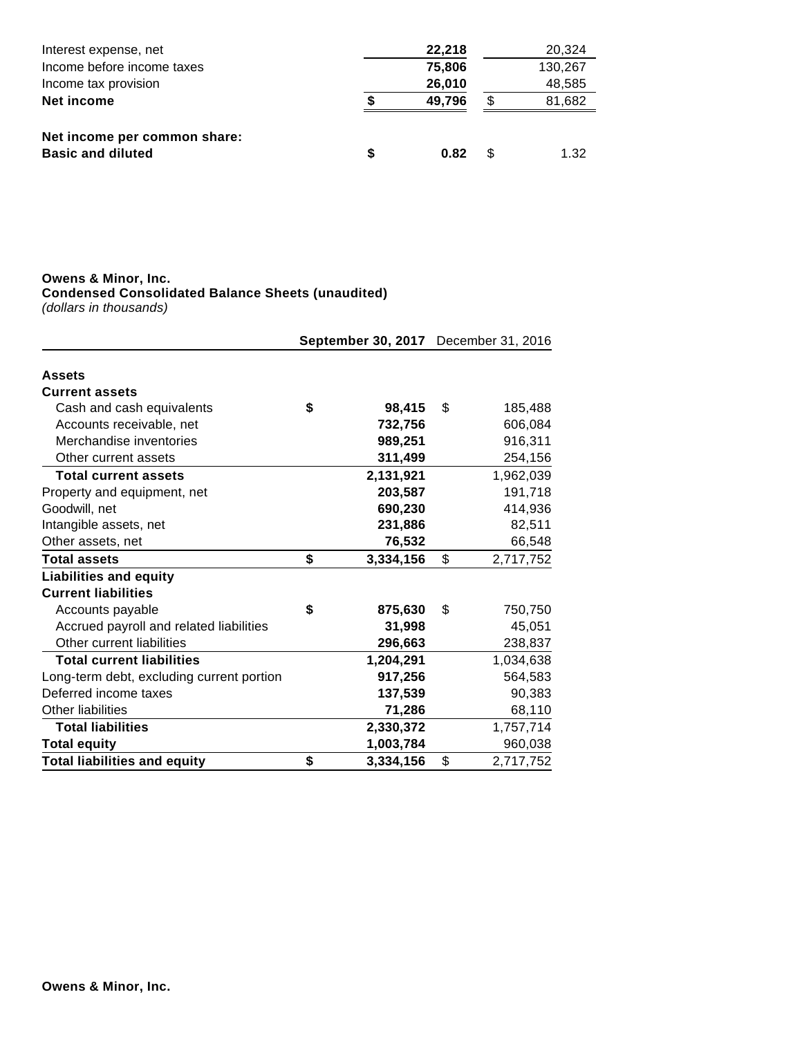| Interest expense, net        |   | 22,218 |     | 20,324  |
|------------------------------|---|--------|-----|---------|
| Income before income taxes   |   | 75,806 |     | 130,267 |
| Income tax provision         |   | 26,010 |     | 48,585  |
| Net income                   |   | 49,796 | S   | 81,682  |
| Net income per common share: |   |        |     |         |
| <b>Basic and diluted</b>     | S | 0.82   | \$. | 1.32    |

#### **Owens & Minor, Inc.**

**Condensed Consolidated Balance Sheets (unaudited)**

(dollars in thousands)

|                                           |                 | September 30, 2017 December 31, 2016 |           |  |
|-------------------------------------------|-----------------|--------------------------------------|-----------|--|
| <b>Assets</b>                             |                 |                                      |           |  |
| <b>Current assets</b>                     |                 |                                      |           |  |
| Cash and cash equivalents                 | \$<br>98,415    | \$                                   | 185,488   |  |
| Accounts receivable, net                  | 732,756         |                                      | 606,084   |  |
| Merchandise inventories                   | 989,251         |                                      | 916,311   |  |
| Other current assets                      | 311,499         |                                      | 254,156   |  |
| <b>Total current assets</b>               | 2,131,921       |                                      | 1,962,039 |  |
| Property and equipment, net               | 203,587         |                                      | 191,718   |  |
| Goodwill, net                             | 690,230         |                                      | 414,936   |  |
| Intangible assets, net                    | 231,886         |                                      | 82,511    |  |
| Other assets, net                         | 76,532          |                                      | 66,548    |  |
| <b>Total assets</b>                       | \$<br>3,334,156 | \$                                   | 2,717,752 |  |
| <b>Liabilities and equity</b>             |                 |                                      |           |  |
| <b>Current liabilities</b>                |                 |                                      |           |  |
| Accounts payable                          | \$<br>875,630   | \$                                   | 750,750   |  |
| Accrued payroll and related liabilities   | 31,998          |                                      | 45,051    |  |
| Other current liabilities                 | 296,663         |                                      | 238,837   |  |
| <b>Total current liabilities</b>          | 1,204,291       |                                      | 1,034,638 |  |
| Long-term debt, excluding current portion | 917,256         |                                      | 564,583   |  |
| Deferred income taxes                     | 137,539         |                                      | 90,383    |  |
| <b>Other liabilities</b>                  | 71,286          |                                      | 68,110    |  |
| <b>Total liabilities</b>                  | 2,330,372       |                                      | 1,757,714 |  |
| <b>Total equity</b>                       | 1,003,784       |                                      | 960,038   |  |
| <b>Total liabilities and equity</b>       | \$<br>3,334,156 | \$                                   | 2,717,752 |  |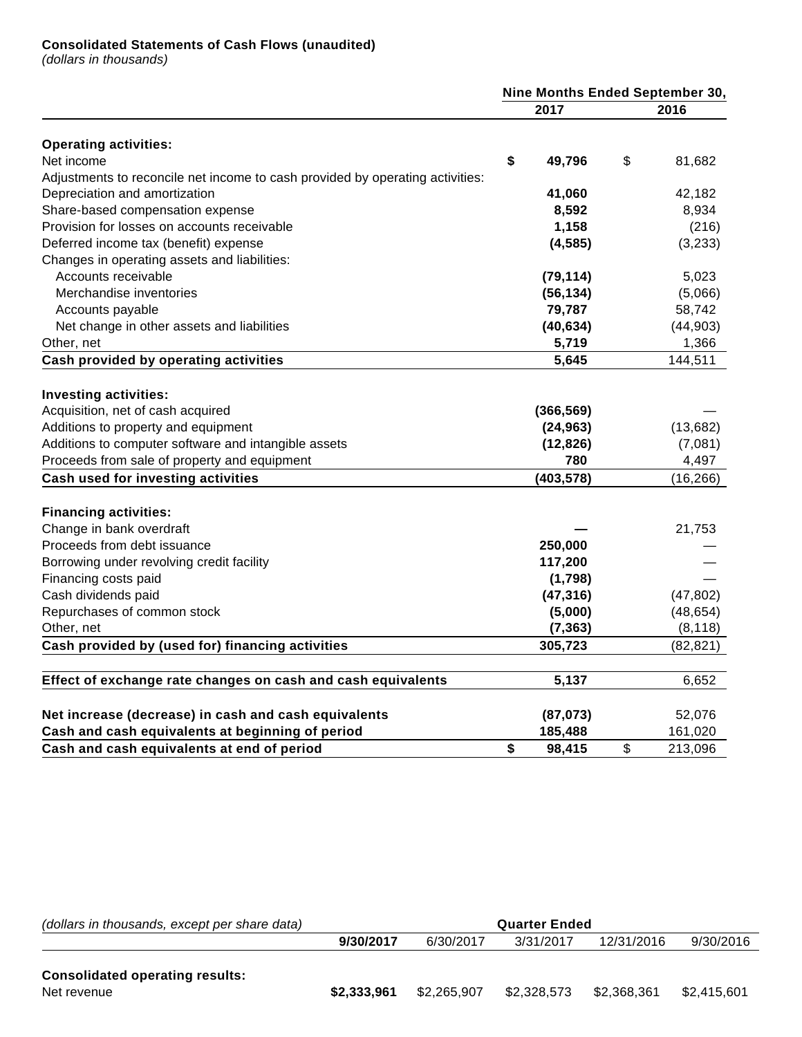# **Consolidated Statements of Cash Flows (unaudited)**

(dollars in thousands)

|                                                                               | Nine Months Ended September 30, |            |    |           |
|-------------------------------------------------------------------------------|---------------------------------|------------|----|-----------|
|                                                                               |                                 | 2017       |    | 2016      |
| <b>Operating activities:</b>                                                  |                                 |            |    |           |
| Net income                                                                    | \$                              | 49,796     | \$ | 81,682    |
| Adjustments to reconcile net income to cash provided by operating activities: |                                 |            |    |           |
| Depreciation and amortization                                                 |                                 | 41,060     |    | 42,182    |
| Share-based compensation expense                                              |                                 | 8,592      |    | 8,934     |
| Provision for losses on accounts receivable                                   |                                 | 1,158      |    | (216)     |
| Deferred income tax (benefit) expense                                         |                                 | (4, 585)   |    | (3,233)   |
| Changes in operating assets and liabilities:                                  |                                 |            |    |           |
| Accounts receivable                                                           |                                 | (79, 114)  |    | 5,023     |
| Merchandise inventories                                                       |                                 | (56, 134)  |    | (5,066)   |
| Accounts payable                                                              |                                 | 79,787     |    | 58,742    |
| Net change in other assets and liabilities                                    |                                 | (40, 634)  |    | (44,903)  |
| Other, net                                                                    |                                 | 5,719      |    | 1,366     |
| Cash provided by operating activities                                         |                                 | 5,645      |    | 144,511   |
|                                                                               |                                 |            |    |           |
| <b>Investing activities:</b>                                                  |                                 |            |    |           |
| Acquisition, net of cash acquired                                             |                                 | (366, 569) |    |           |
| Additions to property and equipment                                           |                                 | (24, 963)  |    | (13,682)  |
| Additions to computer software and intangible assets                          |                                 | (12, 826)  |    | (7,081)   |
| Proceeds from sale of property and equipment                                  |                                 | 780        |    | 4,497     |
| Cash used for investing activities                                            |                                 | (403, 578) |    | (16, 266) |
| <b>Financing activities:</b>                                                  |                                 |            |    |           |
| Change in bank overdraft                                                      |                                 |            |    | 21,753    |
| Proceeds from debt issuance                                                   |                                 | 250,000    |    |           |
| Borrowing under revolving credit facility                                     |                                 | 117,200    |    |           |
| Financing costs paid                                                          |                                 | (1,798)    |    |           |
| Cash dividends paid                                                           |                                 | (47, 316)  |    | (47, 802) |
| Repurchases of common stock                                                   |                                 | (5,000)    |    | (48, 654) |
| Other, net                                                                    |                                 | (7, 363)   |    | (8, 118)  |
| Cash provided by (used for) financing activities                              |                                 | 305,723    |    | (82, 821) |
|                                                                               |                                 |            |    |           |
| Effect of exchange rate changes on cash and cash equivalents                  |                                 | 5,137      |    | 6,652     |
| Net increase (decrease) in cash and cash equivalents                          |                                 | (87, 073)  |    | 52,076    |
| Cash and cash equivalents at beginning of period                              |                                 | 185,488    |    | 161,020   |
| Cash and cash equivalents at end of period                                    | \$                              | 98,415     | \$ | 213,096   |

| (dollars in thousands, except per share data)         | <b>Quarter Ended</b> |             |             |             |             |  |  |  |  |
|-------------------------------------------------------|----------------------|-------------|-------------|-------------|-------------|--|--|--|--|
|                                                       | 9/30/2017            | 6/30/2017   | 3/31/2017   | 12/31/2016  | 9/30/2016   |  |  |  |  |
| <b>Consolidated operating results:</b><br>Net revenue | \$2.333.961          | \$2.265.907 | \$2.328.573 | \$2.368.361 | \$2.415.601 |  |  |  |  |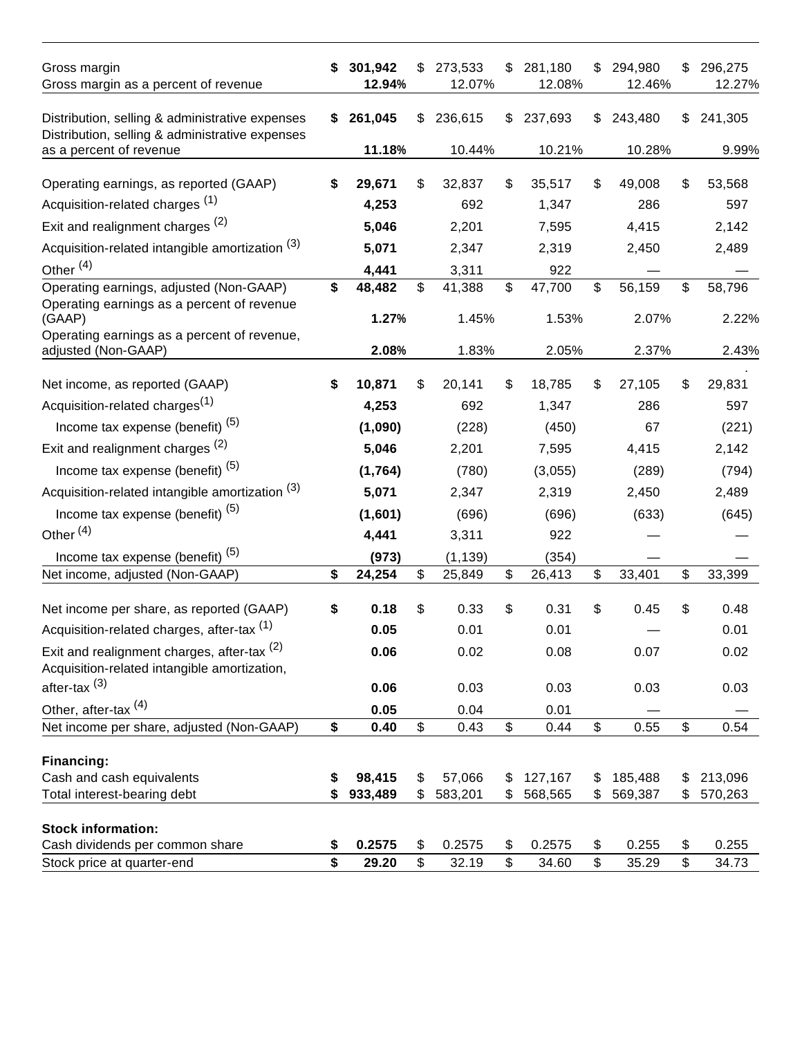| Gross margin<br>Gross margin as a percent of revenue                                                   | S  | 301,942<br>12.94% | S  | 273,533<br>12.07% | \$                        | 281,180<br>12.08% | S  | 294,980<br>12.46% | \$                        | 296,275<br>12.27% |
|--------------------------------------------------------------------------------------------------------|----|-------------------|----|-------------------|---------------------------|-------------------|----|-------------------|---------------------------|-------------------|
| Distribution, selling & administrative expenses<br>Distribution, selling & administrative expenses     | S. | 261,045           | \$ | 236,615           | \$                        | 237,693           | \$ | 243,480           | \$                        | 241,305           |
| as a percent of revenue                                                                                |    | 11.18%            |    | 10.44%            |                           | 10.21%            |    | 10.28%            |                           | 9.99%             |
| Operating earnings, as reported (GAAP)                                                                 | S  | 29,671            | S  | 32,837            | \$                        | 35,517            | \$ | 49,008            | \$                        | 53,568            |
| Acquisition-related charges <sup>(1)</sup>                                                             |    | 4,253             |    | 692               |                           | 1,347             |    | 286               |                           | 597               |
| Exit and realignment charges <sup>(2)</sup>                                                            |    | 5,046             |    | 2,201             |                           | 7,595             |    | 4,415             |                           | 2,142             |
| Acquisition-related intangible amortization (3)                                                        |    | 5,071             |    | 2,347             |                           | 2,319             |    | 2,450             |                           | 2,489             |
| Other <sup>(4)</sup>                                                                                   |    | 4,441             |    | 3,311             |                           | 922               |    |                   |                           |                   |
| Operating earnings, adjusted (Non-GAAP)                                                                | \$ | 48,482            | \$ | 41,388            | \$                        | 47,700            | \$ | 56,159            | \$                        | 58,796            |
| Operating earnings as a percent of revenue                                                             |    |                   |    |                   |                           |                   |    |                   |                           |                   |
| (GAAP)<br>Operating earnings as a percent of revenue,                                                  |    | 1.27%             |    | 1.45%             |                           | 1.53%             |    | 2.07%             |                           | 2.22%             |
| adjusted (Non-GAAP)                                                                                    |    | 2.08%             |    | 1.83%             |                           | 2.05%             |    | 2.37%             |                           | 2.43%             |
|                                                                                                        |    |                   |    |                   |                           |                   |    |                   |                           |                   |
| Net income, as reported (GAAP)                                                                         | \$ | 10,871            | S  | 20,141            | \$                        | 18,785            | S  | 27,105            | \$                        | 29,831            |
| Acquisition-related charges <sup>(1)</sup>                                                             |    | 4,253             |    | 692               |                           | 1,347             |    | 286               |                           | 597               |
| Income tax expense (benefit) <sup>(5)</sup>                                                            |    | (1,090)           |    | (228)             |                           | (450)             |    | 67                |                           | (221)             |
| Exit and realignment charges (2)                                                                       |    | 5,046             |    | 2,201             |                           | 7,595             |    | 4,415             |                           | 2,142             |
| Income tax expense (benefit) <sup>(5)</sup>                                                            |    | (1,764)           |    | (780)             |                           | (3,055)           |    | (289)             |                           | (794)             |
| Acquisition-related intangible amortization (3)                                                        |    | 5,071             |    | 2,347             |                           | 2,319             |    | 2,450             |                           | 2,489             |
| Income tax expense (benefit) <sup>(5)</sup>                                                            |    | (1,601)           |    | (696)             |                           | (696)             |    | (633)             |                           | (645)             |
| Other <sup>(4)</sup>                                                                                   |    | 4,441             |    | 3,311             |                           | 922               |    |                   |                           |                   |
| Income tax expense (benefit) <sup>(5)</sup>                                                            |    | (973)             |    | (1, 139)          |                           | (354)             |    |                   |                           |                   |
| Net income, adjusted (Non-GAAP)                                                                        | \$ | 24,254            | \$ | 25,849            | \$                        | 26,413            | \$ | 33,401            | \$                        | 33,399            |
|                                                                                                        |    |                   |    |                   |                           |                   | \$ |                   |                           |                   |
| Net income per share, as reported (GAAP)                                                               | \$ | 0.18              | \$ | 0.33              | \$                        | 0.31              |    | 0.45              | \$                        | 0.48              |
| Acquisition-related charges, after-tax (1)                                                             |    | 0.05              |    | 0.01              |                           | 0.01              |    |                   |                           | 0.01              |
| Exit and realignment charges, after-tax <sup>(2)</sup><br>Acquisition-related intangible amortization, |    | 0.06              |    | 0.02              |                           | 0.08              |    | 0.07              |                           | 0.02              |
| after-tax <sup>(3)</sup>                                                                               |    | 0.06              |    | 0.03              |                           | 0.03              |    | 0.03              |                           | 0.03              |
| Other, after-tax <sup>(4)</sup>                                                                        |    | 0.05              |    | 0.04              |                           | 0.01              |    |                   |                           |                   |
| Net income per share, adjusted (Non-GAAP)                                                              | \$ | 0.40              | \$ | 0.43              | $\boldsymbol{\mathsf{S}}$ | 0.44              | \$ | 0.55              | $\boldsymbol{\mathsf{S}}$ | 0.54              |
| Financing:                                                                                             |    |                   |    |                   |                           |                   |    |                   |                           |                   |
| Cash and cash equivalents                                                                              |    | 98,415            | \$ | 57,066            | \$                        | 127,167           | \$ | 185,488           | \$                        | 213,096           |
| Total interest-bearing debt                                                                            | S  | 933,489           | \$ | 583,201           | \$                        | 568,565           | \$ | 569,387           | \$                        | 570,263           |
|                                                                                                        |    |                   |    |                   |                           |                   |    |                   |                           |                   |
| <b>Stock information:</b><br>Cash dividends per common share                                           | \$ | 0.2575            | \$ | 0.2575            | \$                        | 0.2575            | \$ | 0.255             | \$                        | 0.255             |
| Stock price at quarter-end                                                                             | \$ | 29.20             | \$ | 32.19             | \$                        | 34.60             | \$ | 35.29             | \$                        | 34.73             |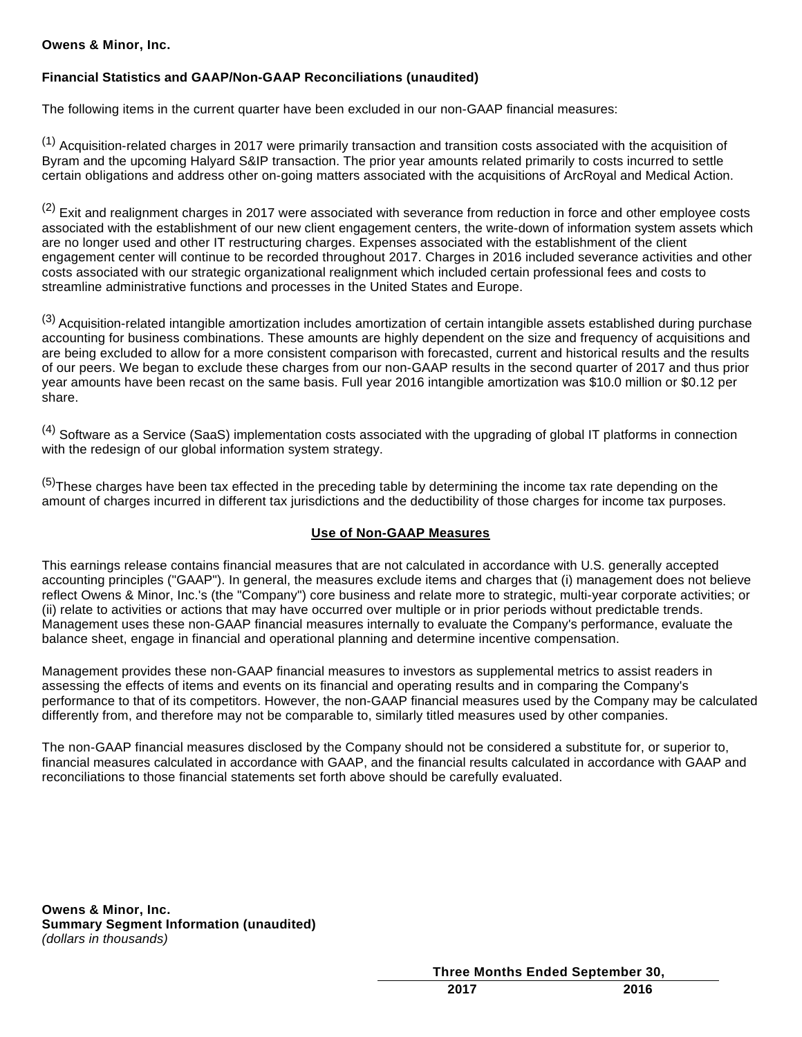# **Owens & Minor, Inc.**

# **Financial Statistics and GAAP/Non-GAAP Reconciliations (unaudited)**

The following items in the current quarter have been excluded in our non-GAAP financial measures:

 $<sup>(1)</sup>$  Acquisition-related charges in 2017 were primarily transaction and transition costs associated with the acquisition of</sup> Byram and the upcoming Halyard S&IP transaction. The prior year amounts related primarily to costs incurred to settle certain obligations and address other on-going matters associated with the acquisitions of ArcRoyal and Medical Action.

 $(2)$  Exit and realignment charges in 2017 were associated with severance from reduction in force and other employee costs associated with the establishment of our new client engagement centers, the write-down of information system assets which are no longer used and other IT restructuring charges. Expenses associated with the establishment of the client engagement center will continue to be recorded throughout 2017. Charges in 2016 included severance activities and other costs associated with our strategic organizational realignment which included certain professional fees and costs to streamline administrative functions and processes in the United States and Europe.

(3) Acquisition-related intangible amortization includes amortization of certain intangible assets established during purchase accounting for business combinations. These amounts are highly dependent on the size and frequency of acquisitions and are being excluded to allow for a more consistent comparison with forecasted, current and historical results and the results of our peers. We began to exclude these charges from our non-GAAP results in the second quarter of 2017 and thus prior year amounts have been recast on the same basis. Full year 2016 intangible amortization was \$10.0 million or \$0.12 per share.

 $(4)$  Software as a Service (SaaS) implementation costs associated with the upgrading of global IT platforms in connection with the redesign of our global information system strategy.

 $(5)$ These charges have been tax effected in the preceding table by determining the income tax rate depending on the amount of charges incurred in different tax jurisdictions and the deductibility of those charges for income tax purposes.

## **Use of Non-GAAP Measures**

This earnings release contains financial measures that are not calculated in accordance with U.S. generally accepted accounting principles ("GAAP"). In general, the measures exclude items and charges that (i) management does not believe reflect Owens & Minor, Inc.'s (the "Company") core business and relate more to strategic, multi-year corporate activities; or (ii) relate to activities or actions that may have occurred over multiple or in prior periods without predictable trends. Management uses these non-GAAP financial measures internally to evaluate the Company's performance, evaluate the balance sheet, engage in financial and operational planning and determine incentive compensation.

Management provides these non-GAAP financial measures to investors as supplemental metrics to assist readers in assessing the effects of items and events on its financial and operating results and in comparing the Company's performance to that of its competitors. However, the non-GAAP financial measures used by the Company may be calculated differently from, and therefore may not be comparable to, similarly titled measures used by other companies.

The non-GAAP financial measures disclosed by the Company should not be considered a substitute for, or superior to, financial measures calculated in accordance with GAAP, and the financial results calculated in accordance with GAAP and reconciliations to those financial statements set forth above should be carefully evaluated.

**Owens & Minor, Inc. Summary Segment Information (unaudited)** (dollars in thousands)

**Three Months Ended September 30,**

**2017 2016**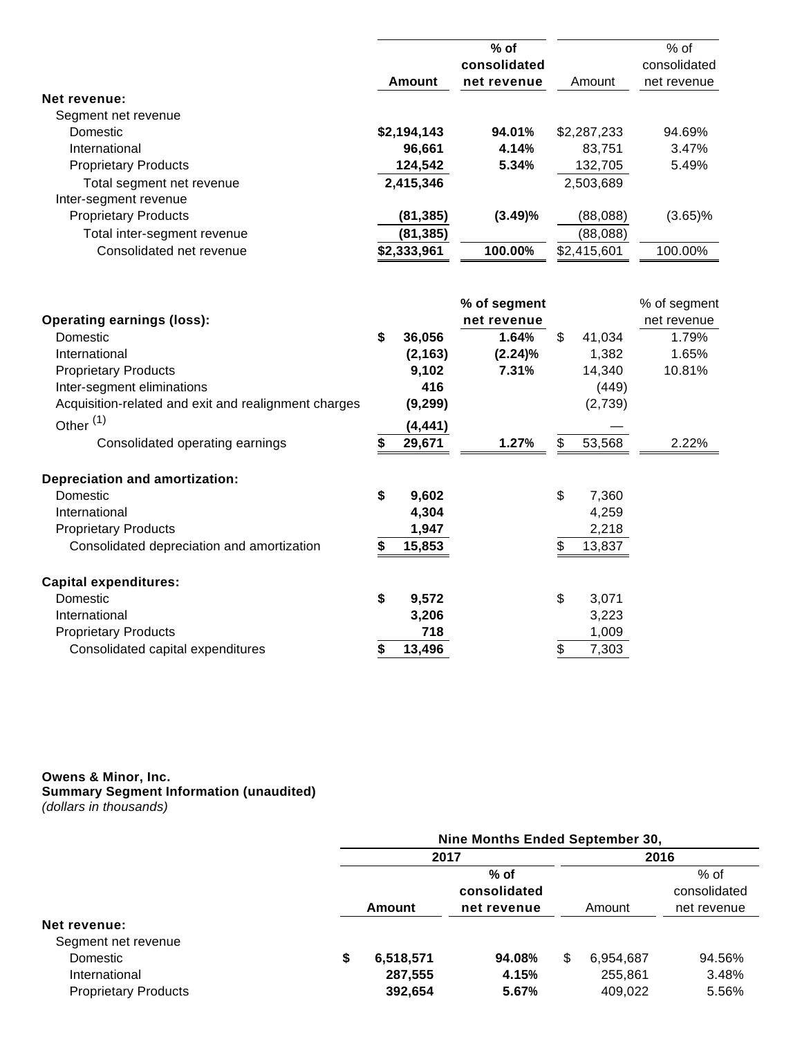|                             | Amount      | $%$ of<br>consolidated<br>net revenue | Amount      | $%$ of<br>consolidated<br>net revenue |
|-----------------------------|-------------|---------------------------------------|-------------|---------------------------------------|
| Net revenue:                |             |                                       |             |                                       |
| Segment net revenue         |             |                                       |             |                                       |
| <b>Domestic</b>             | \$2,194,143 | 94.01%                                | \$2,287,233 | 94.69%                                |
| International               | 96.661      | 4.14%                                 | 83.751      | 3.47%                                 |
| <b>Proprietary Products</b> | 124,542     | 5.34%                                 | 132,705     | 5.49%                                 |
| Total segment net revenue   | 2,415,346   |                                       | 2,503,689   |                                       |
| Inter-segment revenue       |             |                                       |             |                                       |
| <b>Proprietary Products</b> | (81, 385)   | (3.49)%                               | (88,088)    | $(3.65)\%$                            |
| Total inter-segment revenue | (81, 385)   |                                       | (88,088)    |                                       |
| Consolidated net revenue    | \$2,333,961 | 100.00%                               | \$2,415,601 | 100.00%                               |

|                                                      |              | % of segment |    |         | % of segment |
|------------------------------------------------------|--------------|--------------|----|---------|--------------|
| <b>Operating earnings (loss):</b>                    |              | net revenue  |    |         | net revenue  |
| Domestic                                             | \$<br>36,056 | 1.64%        | \$ | 41,034  | 1.79%        |
| International                                        | (2, 163)     | $(2.24)\%$   |    | 1,382   | 1.65%        |
| <b>Proprietary Products</b>                          | 9,102        | 7.31%        |    | 14,340  | 10.81%       |
| Inter-segment eliminations                           | 416          |              |    | (449)   |              |
| Acquisition-related and exit and realignment charges | (9, 299)     |              |    | (2,739) |              |
| Other <sup>(1)</sup>                                 | (4,441)      |              |    |         |              |
| Consolidated operating earnings                      | 29,671       | 1.27%        | \$ | 53,568  | 2.22%        |
| <b>Depreciation and amortization:</b>                |              |              |    |         |              |
| Domestic                                             | \$<br>9,602  |              | \$ | 7,360   |              |
| International                                        | 4,304        |              |    | 4,259   |              |
| <b>Proprietary Products</b>                          | 1,947        |              |    | 2,218   |              |
| Consolidated depreciation and amortization           | 15,853       |              | S  | 13,837  |              |
| <b>Capital expenditures:</b>                         |              |              |    |         |              |
| Domestic                                             | \$<br>9,572  |              | \$ | 3,071   |              |
| International                                        | 3,206        |              |    | 3,223   |              |
| <b>Proprietary Products</b>                          | 718          |              |    | 1,009   |              |
| Consolidated capital expenditures                    | \$<br>13,496 |              | \$ | 7,303   |              |

#### **Owens & Minor, Inc. Summary Segment Information (unaudited)** (dollars in thousands)

|                             | Nine Months Ended September 30, |           |              |    |           |              |  |
|-----------------------------|---------------------------------|-----------|--------------|----|-----------|--------------|--|
|                             |                                 | 2017      |              |    | 2016      |              |  |
|                             | $%$ of                          |           |              |    |           | $%$ of       |  |
|                             |                                 |           | consolidated |    |           | consolidated |  |
|                             |                                 | Amount    | net revenue  |    | Amount    | net revenue  |  |
| <b>Net revenue:</b>         |                                 |           |              |    |           |              |  |
| Segment net revenue         |                                 |           |              |    |           |              |  |
| Domestic                    | \$                              | 6,518,571 | 94.08%       | \$ | 6,954,687 | 94.56%       |  |
| International               |                                 | 287,555   | 4.15%        |    | 255,861   | 3.48%        |  |
| <b>Proprietary Products</b> |                                 | 392,654   | 5.67%        |    | 409,022   | 5.56%        |  |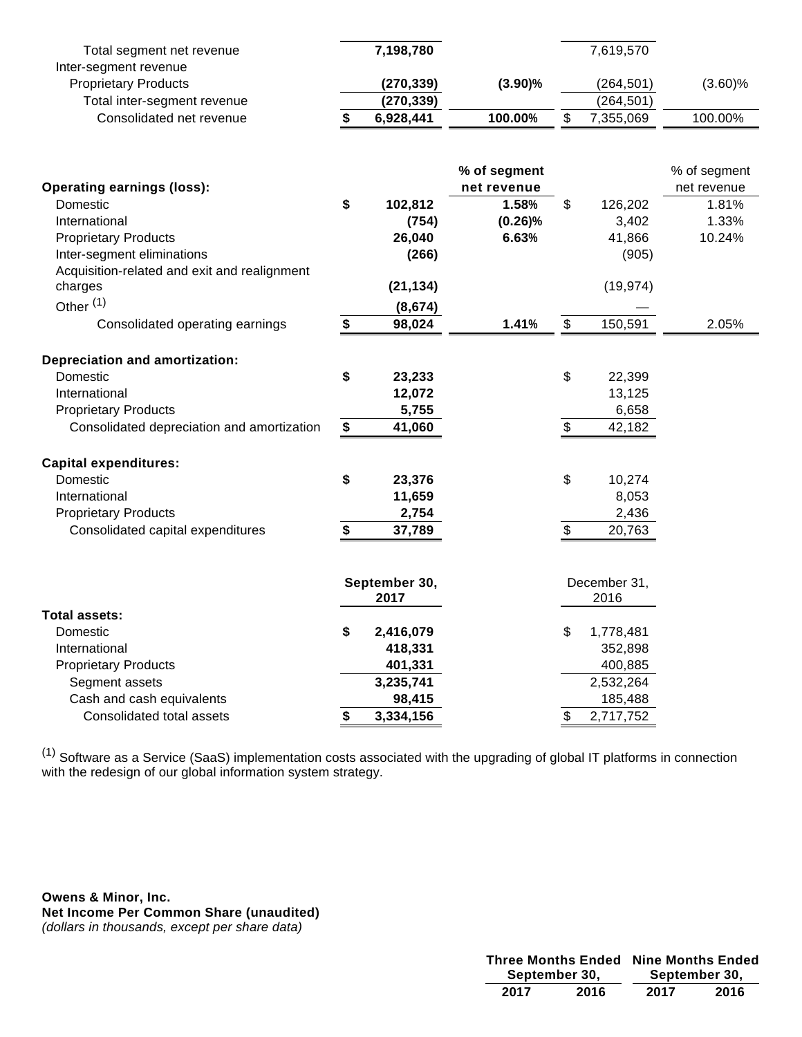| Total segment net revenue                    |    | 7,198,780     |              | 7,619,570       |              |
|----------------------------------------------|----|---------------|--------------|-----------------|--------------|
| Inter-segment revenue                        |    |               |              |                 |              |
| <b>Proprietary Products</b>                  |    | (270, 339)    | (3.90)%      | (264, 501)      | $(3.60)$ %   |
| Total inter-segment revenue                  |    | (270, 339)    |              | (264, 501)      |              |
| Consolidated net revenue                     | S  | 6,928,441     | 100.00%      | \$<br>7,355,069 | 100.00%      |
|                                              |    |               |              |                 |              |
|                                              |    |               | % of segment |                 | % of segment |
| <b>Operating earnings (loss):</b>            |    |               | net revenue  |                 | net revenue  |
| Domestic                                     | \$ | 102,812       | 1.58%        | \$<br>126,202   | 1.81%        |
| International                                |    | (754)         | (0.26)%      | 3,402           | 1.33%        |
| <b>Proprietary Products</b>                  |    | 26,040        | 6.63%        | 41,866          | 10.24%       |
| Inter-segment eliminations                   |    | (266)         |              | (905)           |              |
| Acquisition-related and exit and realignment |    |               |              |                 |              |
| charges                                      |    | (21, 134)     |              | (19, 974)       |              |
| Other <sup>(1)</sup>                         |    | (8,674)       |              |                 |              |
| Consolidated operating earnings              | \$ | 98,024        | 1.41%        | \$<br>150,591   | 2.05%        |
| Depreciation and amortization:               |    |               |              |                 |              |
| Domestic                                     | \$ | 23,233        |              | \$<br>22,399    |              |
| International                                |    |               |              | 13,125          |              |
|                                              |    | 12,072        |              |                 |              |
| <b>Proprietary Products</b>                  |    | 5,755         |              | 6,658           |              |
| Consolidated depreciation and amortization   | \$ | 41,060        |              | \$<br>42,182    |              |
| <b>Capital expenditures:</b>                 |    |               |              |                 |              |
| Domestic                                     | \$ | 23,376        |              | \$<br>10,274    |              |
| International                                |    | 11,659        |              | 8,053           |              |
| <b>Proprietary Products</b>                  |    | 2,754         |              | 2,436           |              |
| Consolidated capital expenditures            | \$ | 37,789        |              | \$<br>20,763    |              |
|                                              |    |               |              |                 |              |
|                                              |    | September 30, |              | December 31,    |              |
|                                              |    | 2017          |              | 2016            |              |
| Total assets:                                |    |               |              |                 |              |
| Domestic                                     | \$ | 2,416,079     |              | \$<br>1,778,481 |              |
| International                                |    | 418,331       |              | 352,898         |              |
| <b>Proprietary Products</b>                  |    | 401,331       |              | 400,885         |              |
| Segment assets                               |    | 3,235,741     |              | 2,532,264       |              |
| Cash and cash equivalents                    |    | 98,415        |              | 185,488         |              |
| Consolidated total assets                    | S  | 3,334,156     |              | \$<br>2,717,752 |              |

 $^{(1)}$  Software as a Service (SaaS) implementation costs associated with the upgrading of global IT platforms in connection with the redesign of our global information system strategy.

**Owens & Minor, Inc. Net Income Per Common Share (unaudited)** (dollars in thousands, except per share data)

| <b>Three Months Ended</b> |      | <b>Nine Months Ended</b> |               |
|---------------------------|------|--------------------------|---------------|
| September 30,             |      |                          | September 30, |
| 2017                      | 2016 | 2017                     | 2016          |